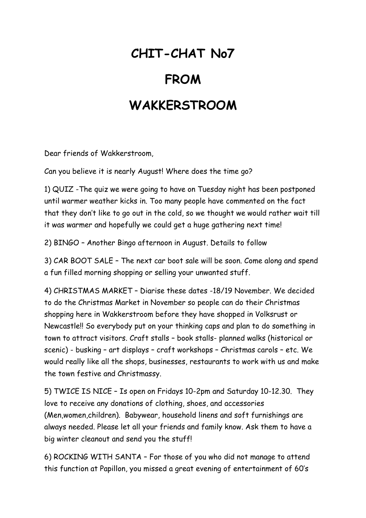## **CHIT-CHAT No7**

## **FROM**

## **WAKKERSTROOM**

Dear friends of Wakkerstroom,

Can you believe it is nearly August! Where does the time go?

1) QUIZ -The quiz we were going to have on Tuesday night has been postponed until warmer weather kicks in. Too many people have commented on the fact that they don't like to go out in the cold, so we thought we would rather wait till it was warmer and hopefully we could get a huge gathering next time!

2) BINGO – Another Bingo afternoon in August. Details to follow

3) CAR BOOT SALE – The next car boot sale will be soon. Come along and spend a fun filled morning shopping or selling your unwanted stuff.

4) CHRISTMAS MARKET – Diarise these dates -18/19 November. We decided to do the Christmas Market in November so people can do their Christmas shopping here in Wakkerstroom before they have shopped in Volksrust or Newcastle!! So everybody put on your thinking caps and plan to do something in town to attract visitors. Craft stalls – book stalls- planned walks (historical or scenic) - busking – art displays – craft workshops – Christmas carols – etc. We would really like all the shops, businesses, restaurants to work with us and make the town festive and Christmassy.

5) TWICE IS NICE – Is open on Fridays 10-2pm and Saturday 10-12.30. They love to receive any donations of clothing, shoes, and accessories (Men,women,children). Babywear, household linens and soft furnishings are always needed. Please let all your friends and family know. Ask them to have a big winter cleanout and send you the stuff!

6) ROCKING WITH SANTA – For those of you who did not manage to attend this function at Papillon, you missed a great evening of entertainment of 60's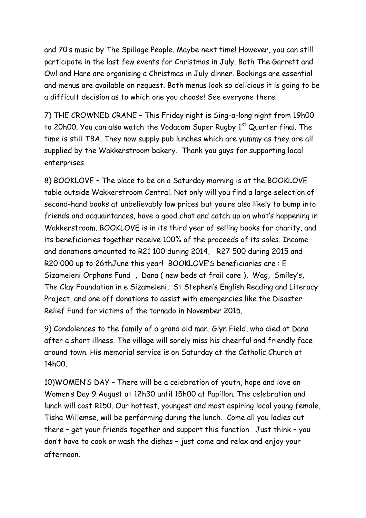and 70's music by The Spillage People. Maybe next time! However, you can still participate in the last few events for Christmas in July. Both The Garrett and Owl and Hare are organising a Christmas in July dinner. Bookings are essential and menus are available on request. Both menus look so delicious it is going to be a difficult decision as to which one you choose! See everyone there!

7) THE CROWNED CRANE – This Friday night is Sing-a-long night from 19h00 to 20h00. You can also watch the Vodacom Super Rugby 1<sup>st</sup> Quarter final. The time is still TBA. They now supply pub lunches which are yummy as they are all supplied by the Wakkerstroom bakery. Thank you guys for supporting local enterprises.

8) BOOKLOVE – The place to be on a Saturday morning is at the BOOKLOVE table outside Wakkerstroom Central. Not only will you find a large selection of second-hand books at unbelievably low prices but you're also likely to bump into friends and acquaintances, have a good chat and catch up on what's happening in Wakkerstroom. BOOKLOVE is in its third year of selling books for charity, and its beneficiaries together receive 100% of the proceeds of its sales. Income and donations amounted to R21 100 during 2014, R27 500 during 2015 and R20 000 up to 26thJune this year! BOOKLOVE'S beneficiaries are : E Sizameleni Orphans Fund , Dana ( new beds at frail care ), Wag, Smiley's, The Clay Foundation in e Sizameleni, St Stephen's English Reading and Literacy Project, and one off donations to assist with emergencies like the Disaster Relief Fund for victims of the tornado in November 2015.

9) Condolences to the family of a grand old man, Glyn Field, who died at Dana after a short illness. The village will sorely miss his cheerful and friendly face around town. His memorial service is on Saturday at the Catholic Church at 14h00.

10)WOMEN'S DAY – There will be a celebration of youth, hope and love on Women's Day 9 August at 12h30 until 15h00 at Papillon. The celebration and lunch will cost R150. Our hottest, youngest and most aspiring local young female, Tisha Willemse, will be performing during the lunch. Come all you ladies out there – get your friends together and support this function. Just think – you don't have to cook or wash the dishes – just come and relax and enjoy your afternoon.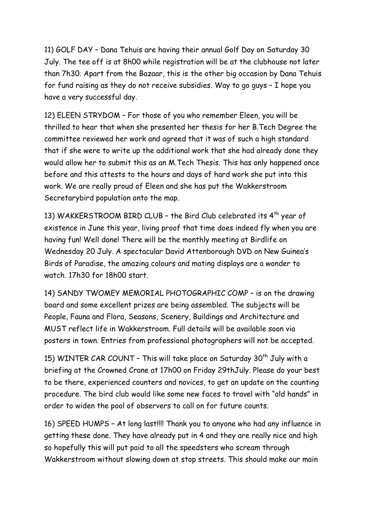11) GOLF DAY – Dana Tehuis are having their annual Golf Day on Saturday 30 July. The tee off is at 8h00 while registration will be at the clubhouse not later than 7h30. Apart from the Bazaar, this is the other big occasion by Dana Tehuis for fund raising as they do not receive subsidies. Way to go guys – I hope you have a very successful day.

12) ELEEN STRYDOM – For those of you who remember Eleen, you will be thrilled to hear that when she presented her thesis for her B.Tech Degree the committee reviewed her work and agreed that it was of such a high standard that if she were to write up the additional work that she had already done they would allow her to submit this as an M.Tech Thesis. This has only happened once before and this attests to the hours and days of hard work she put into this work. We are really proud of Eleen and she has put the Wakkerstroom Secretarybird population onto the map.

13) WAKKERSTROOM BIRD CLUB - the Bird Club celebrated its 4<sup>th</sup> year of existence in June this year, living proof that time does indeed fly when you are having fun! Well done! There will be the monthly meeting at Birdlife on Wednesday 20 July. A spectacular David Attenborough DVD on New Guinea's Birds of Paradise, the amazing colours and mating displays are a wonder to watch. 17h30 for 18h00 start.

14) SANDY TWOMEY MEMORIAL PHOTOGRAPHIC COMP – is on the drawing board and some excellent prizes are being assembled. The subjects will be People, Fauna and Flora, Seasons, Scenery, Buildings and Architecture and MUST reflect life in Wakkerstroom. Full details will be available soon via posters in town. Entries from professional photographers will not be accepted.

15) WINTER CAR COUNT - This will take place on Saturday 30<sup>th</sup> July with a briefing at the Crowned Crane at 17h00 on Friday 29thJuly. Please do your best to be there, experienced counters and novices, to get an update on the counting procedure. The bird club would like some new faces to travel with "old hands" in order to widen the pool of observers to call on for future counts.

16) SPEED HUMPS – At long last!!!! Thank you to anyone who had any influence in getting these done. They have already put in 4 and they are really nice and high so hopefully this will put paid to all the speedsters who scream through Wakkerstroom without slowing down at stop streets. This should make our main